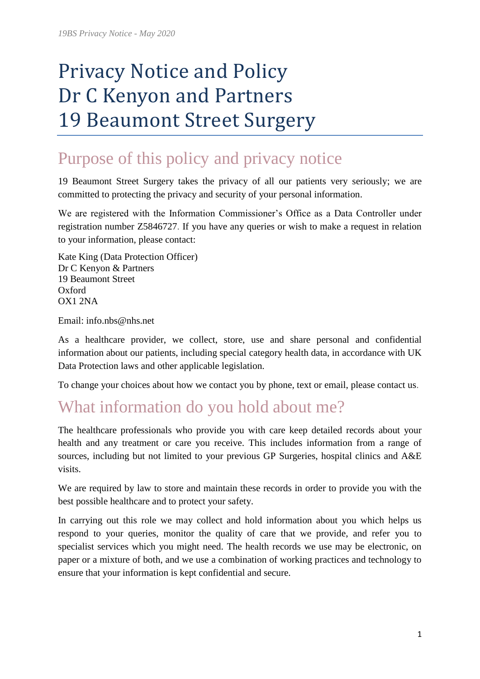# Privacy Notice and Policy Dr C Kenyon and Partners 19 Beaumont Street Surgery

## Purpose of this policy and privacy notice

19 Beaumont Street Surgery takes the privacy of all our patients very seriously; we are committed to protecting the privacy and security of your personal information.

We are registered with the Information Commissioner's Office as a Data Controller under registration number Z5846727. If you have any queries or wish to make a request in relation to your information, please contact:

Kate King (Data Protection Officer) Dr C Kenyon & Partners 19 Beaumont Street Oxford OX1 2NA

Email: info.nbs@nhs.net

As a healthcare provider, we collect, store, use and share personal and confidential information about our patients, including special category health data, in accordance with UK Data Protection laws and other applicable legislation.

To change your choices about how we contact you by phone, text or email, please contact us.

## What information do you hold about me?

The healthcare professionals who provide you with care keep detailed records about your health and any treatment or care you receive. This includes information from a range of sources, including but not limited to your previous GP Surgeries, hospital clinics and A&E visits.

We are required by law to store and maintain these records in order to provide you with the best possible healthcare and to protect your safety.

In carrying out this role we may collect and hold information about you which helps us respond to your queries, monitor the quality of care that we provide, and refer you to specialist services which you might need. The health records we use may be electronic, on paper or a mixture of both, and we use a combination of working practices and technology to ensure that your information is kept confidential and secure.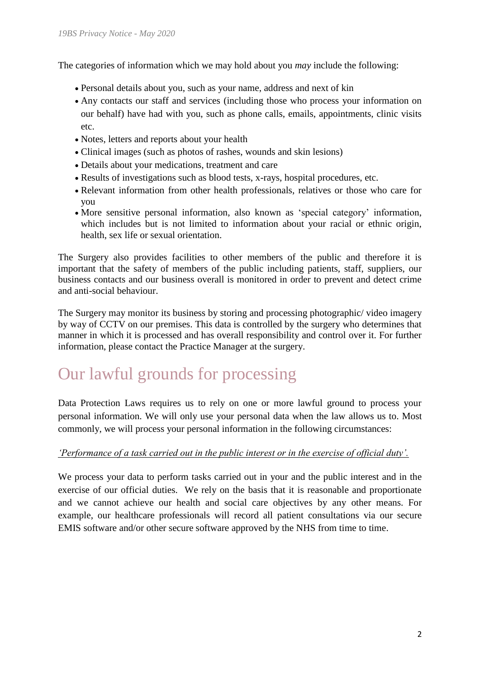The categories of information which we may hold about you *may* include the following:

- Personal details about you, such as your name, address and next of kin
- Any contacts our staff and services (including those who process your information on our behalf) have had with you, such as phone calls, emails, appointments, clinic visits etc.
- Notes, letters and reports about your health
- Clinical images (such as photos of rashes, wounds and skin lesions)
- Details about your medications, treatment and care
- Results of investigations such as blood tests, x-rays, hospital procedures, etc.
- Relevant information from other health professionals, relatives or those who care for you
- More sensitive personal information, also known as 'special category' information, which includes but is not limited to information about your racial or ethnic origin, health, sex life or sexual orientation.

The Surgery also provides facilities to other members of the public and therefore it is important that the safety of members of the public including patients, staff, suppliers, our business contacts and our business overall is monitored in order to prevent and detect crime and anti-social behaviour.

The Surgery may monitor its business by storing and processing photographic/ video imagery by way of CCTV on our premises. This data is controlled by the surgery who determines that manner in which it is processed and has overall responsibility and control over it. For further information, please contact the Practice Manager at the surgery.

## Our lawful grounds for processing

Data Protection Laws requires us to rely on one or more lawful ground to process your personal information. We will only use your personal data when the law allows us to. Most commonly, we will process your personal information in the following circumstances:

#### *'Performance of a task carried out in the public interest or in the exercise of official duty'.*

We process your data to perform tasks carried out in your and the public interest and in the exercise of our official duties. We rely on the basis that it is reasonable and proportionate and we cannot achieve our health and social care objectives by any other means. For example, our healthcare professionals will record all patient consultations via our secure EMIS software and/or other secure software approved by the NHS from time to time.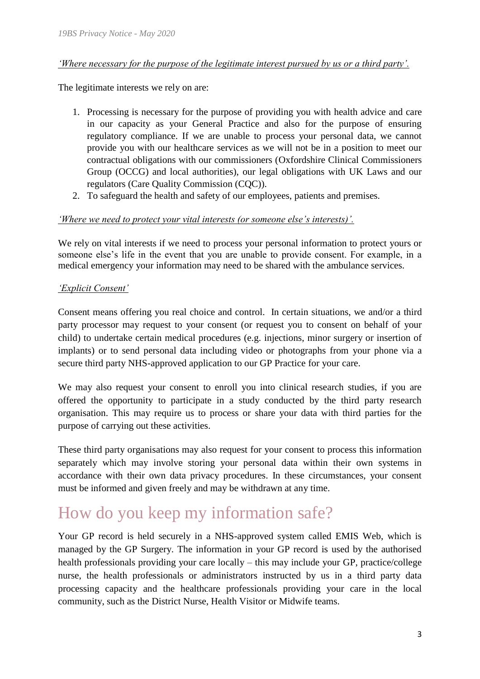#### *'Where necessary for the purpose of the legitimate interest pursued by us or a third party'.*

The legitimate interests we rely on are:

- 1. Processing is necessary for the purpose of providing you with health advice and care in our capacity as your General Practice and also for the purpose of ensuring regulatory compliance. If we are unable to process your personal data, we cannot provide you with our healthcare services as we will not be in a position to meet our contractual obligations with our commissioners (Oxfordshire Clinical Commissioners Group (OCCG) and local authorities), our legal obligations with UK Laws and our regulators (Care Quality Commission (CQC)).
- 2. To safeguard the health and safety of our employees, patients and premises.

#### *'Where we need to protect your vital interests (or someone else's interests)'.*

We rely on vital interests if we need to process your personal information to protect yours or someone else's life in the event that you are unable to provide consent. For example, in a medical emergency your information may need to be shared with the ambulance services.

#### *'Explicit Consent'*

Consent means offering you real choice and control. In certain situations, we and/or a third party processor may request to your consent (or request you to consent on behalf of your child) to undertake certain medical procedures (e.g. injections, minor surgery or insertion of implants) or to send personal data including video or photographs from your phone via a secure third party NHS-approved application to our GP Practice for your care.

We may also request your consent to enroll you into clinical research studies, if you are offered the opportunity to participate in a study conducted by the third party research organisation. This may require us to process or share your data with third parties for the purpose of carrying out these activities.

These third party organisations may also request for your consent to process this information separately which may involve storing your personal data within their own systems in accordance with their own data privacy procedures. In these circumstances, your consent must be informed and given freely and may be withdrawn at any time.

## How do you keep my information safe?

Your GP record is held securely in a NHS-approved system called EMIS Web, which is managed by the GP Surgery. The information in your GP record is used by the authorised health professionals providing your care locally – this may include your GP, practice/college nurse, the health professionals or administrators instructed by us in a third party data processing capacity and the healthcare professionals providing your care in the local community, such as the District Nurse, Health Visitor or Midwife teams.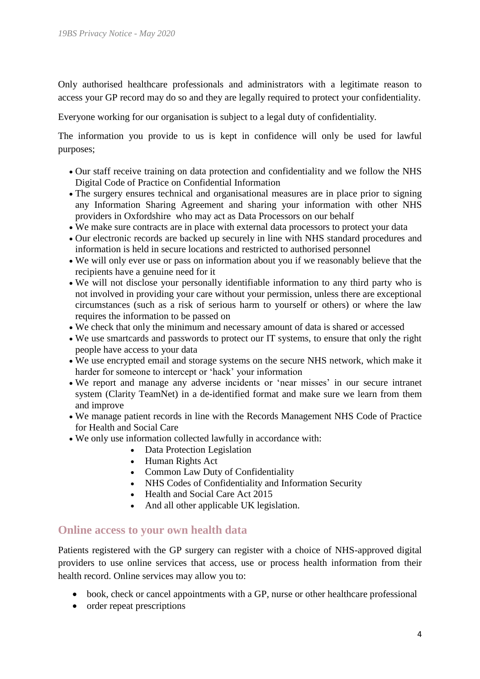Only authorised healthcare professionals and administrators with a legitimate reason to access your GP record may do so and they are legally required to protect your confidentiality.

Everyone working for our organisation is subject to a legal duty of confidentiality.

The information you provide to us is kept in confidence will only be used for lawful purposes;

- Our staff receive training on data protection and confidentiality and we follow the NHS Digital Code of Practice on Confidential Information
- The surgery ensures technical and organisational measures are in place prior to signing any Information Sharing Agreement and sharing your information with other NHS providers in Oxfordshire who may act as Data Processors on our behalf
- We make sure contracts are in place with external data processors to protect your data
- Our electronic records are backed up securely in line with NHS standard procedures and information is held in secure locations and restricted to authorised personnel
- We will only ever use or pass on information about you if we reasonably believe that the recipients have a genuine need for it
- We will not disclose your personally identifiable information to any third party who is not involved in providing your care without your permission, unless there are exceptional circumstances (such as a risk of serious harm to yourself or others) or where the law requires the information to be passed on
- We check that only the minimum and necessary amount of data is shared or accessed
- We use smartcards and passwords to protect our IT systems, to ensure that only the right people have access to your data
- We use encrypted email and storage systems on the secure NHS network, which make it harder for someone to intercept or 'hack' your information
- We report and manage any adverse incidents or 'near misses' in our secure intranet system (Clarity TeamNet) in a de-identified format and make sure we learn from them and improve
- We manage patient records in line with the Records Management NHS Code of Practice for Health and Social Care
- We only use information collected lawfully in accordance with:
	- Data Protection Legislation
	- Human Rights Act
	- Common Law Duty of Confidentiality
	- NHS Codes of Confidentiality and Information Security
	- Health and Social Care Act 2015
	- And all other applicable UK legislation.

#### **Online access to your own health data**

Patients registered with the GP surgery can register with a choice of NHS-approved digital providers to use online services that access, use or process health information from their health record. Online services may allow you to:

- book, check or cancel appointments with a GP, nurse or other healthcare professional
- order repeat prescriptions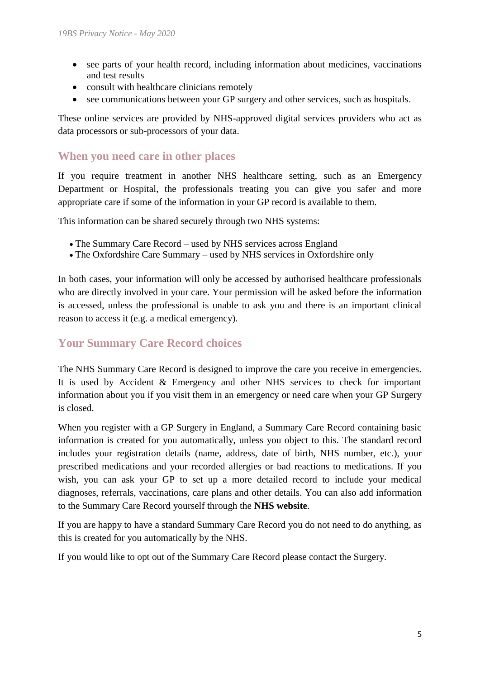- see parts of your health record, including information about medicines, vaccinations and test results
- consult with healthcare clinicians remotely
- see communications between your GP surgery and other services, such as hospitals.

These online services are provided by NHS-approved digital services providers who act as data processors or sub-processors of your data.

#### **When you need care in other places**

If you require treatment in another NHS healthcare setting, such as an Emergency Department or Hospital, the professionals treating you can give you safer and more appropriate care if some of the information in your GP record is available to them.

This information can be shared securely through two NHS systems:

- The Summary Care Record used by NHS services across England
- The Oxfordshire Care Summary used by NHS services in Oxfordshire only

In both cases, your information will only be accessed by authorised healthcare professionals who are directly involved in your care. Your permission will be asked before the information is accessed, unless the professional is unable to ask you and there is an important clinical reason to access it (e.g. a medical emergency).

### **Your Summary Care Record choices**

The NHS Summary Care Record is designed to improve the care you receive in emergencies. It is used by Accident & Emergency and other NHS services to check for important information about you if you visit them in an emergency or need care when your GP Surgery is closed.

When you register with a GP Surgery in England, a Summary Care Record containing basic information is created for you automatically, unless you object to this. The standard record includes your registration details (name, address, date of birth, NHS number, etc.), your prescribed medications and your recorded allergies or bad reactions to medications. If you wish, you can ask your GP to set up a more detailed record to include your medical diagnoses, referrals, vaccinations, care plans and other details. You can also add information to the Summary Care Record yourself through the **NHS [website](https://www.nhs.uk/your-nhs-data-matters)**.

If you are happy to have a standard Summary Care Record you do not need to do anything, as this is created for you automatically by the NHS.

If you would like to opt out of the Summary Care Record please contact the Surgery.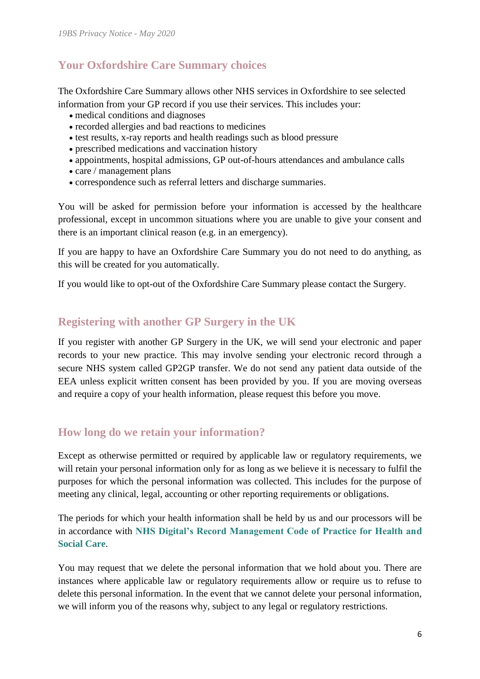## **Your Oxfordshire Care Summary choices**

The Oxfordshire Care Summary allows other NHS services in Oxfordshire to see selected information from your GP record if you use their services. This includes your:

- medical conditions and diagnoses
- recorded allergies and bad reactions to medicines
- test results, x-ray reports and health readings such as blood pressure
- prescribed medications and vaccination history
- appointments, hospital admissions, GP out-of-hours attendances and ambulance calls
- care / management plans
- correspondence such as referral letters and discharge summaries.

You will be asked for permission before your information is accessed by the healthcare professional, except in uncommon situations where you are unable to give your consent and there is an important clinical reason (e.g. in an emergency).

If you are happy to have an Oxfordshire Care Summary you do not need to do anything, as this will be created for you automatically.

If you would like to opt-out of the Oxfordshire Care Summary please contact the Surgery.

## **Registering with another GP Surgery in the UK**

If you register with another GP Surgery in the UK, we will send your electronic and paper records to your new practice. This may involve sending your electronic record through a secure NHS system called GP2GP transfer. We do not send any patient data outside of the EEA unless explicit written consent has been provided by you. If you are moving overseas and require a copy of your health information, please request this before you move.

## **How long do we retain your information?**

Except as otherwise permitted or required by applicable law or regulatory requirements, we will retain your personal information only for as long as we believe it is necessary to fulfil the purposes for which the personal information was collected. This includes for the purpose of meeting any clinical, legal, accounting or other reporting requirements or obligations.

The periods for which your health information shall be held by us and our processors will be in accordance with **[NHS Digital's Record Management Code of Practice for Health and](https://digital.nhs.uk/data-and-information/looking-after-information/data-security-and-information-governance/codes-of-practice-for-handling-information-in-health-and-care/records-management-code-of-practice-for-health-and-social-care-2016)  [Social Care](https://digital.nhs.uk/data-and-information/looking-after-information/data-security-and-information-governance/codes-of-practice-for-handling-information-in-health-and-care/records-management-code-of-practice-for-health-and-social-care-2016)**.

You may request that we delete the personal information that we hold about you. There are instances where applicable law or regulatory requirements allow or require us to refuse to delete this personal information. In the event that we cannot delete your personal information, we will inform you of the reasons why, subject to any legal or regulatory restrictions.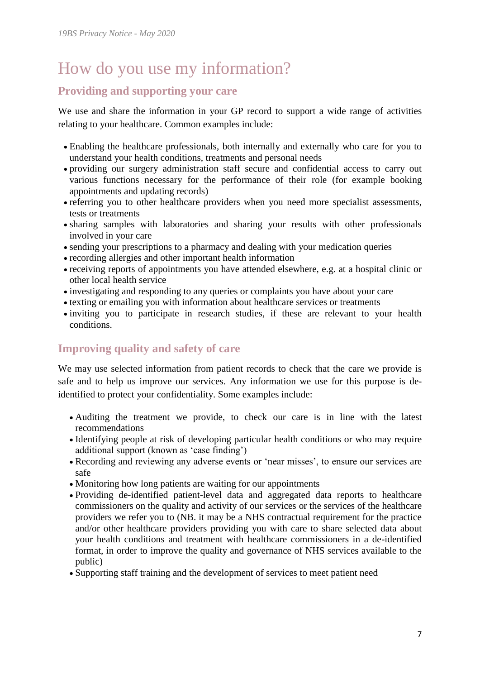## How do you use my information?

## **Providing and supporting your care**

We use and share the information in your GP record to support a wide range of activities relating to your healthcare. Common examples include:

- Enabling the healthcare professionals, both internally and externally who care for you to understand your health conditions, treatments and personal needs
- providing our surgery administration staff secure and confidential access to carry out various functions necessary for the performance of their role (for example booking appointments and updating records)
- referring you to other healthcare providers when you need more specialist assessments, tests or treatments
- sharing samples with laboratories and sharing your results with other professionals involved in your care
- sending your prescriptions to a pharmacy and dealing with your medication queries
- recording allergies and other important health information
- receiving reports of appointments you have attended elsewhere, e.g. at a hospital clinic or other local health service
- investigating and responding to any queries or complaints you have about your care
- texting or emailing you with information about healthcare services or treatments
- inviting you to participate in research studies, if these are relevant to your health conditions.

## **Improving quality and safety of care**

We may use selected information from patient records to check that the care we provide is safe and to help us improve our services. Any information we use for this purpose is deidentified to protect your confidentiality. Some examples include:

- Auditing the treatment we provide, to check our care is in line with the latest recommendations
- Identifying people at risk of developing particular health conditions or who may require additional support (known as 'case finding')
- Recording and reviewing any adverse events or 'near misses', to ensure our services are safe
- Monitoring how long patients are waiting for our appointments
- Providing de-identified patient-level data and aggregated data reports to healthcare commissioners on the quality and activity of our services or the services of the healthcare providers we refer you to (NB. it may be a NHS contractual requirement for the practice and/or other healthcare providers providing you with care to share selected data about your health conditions and treatment with healthcare commissioners in a de-identified format, in order to improve the quality and governance of NHS services available to the public)
- Supporting staff training and the development of services to meet patient need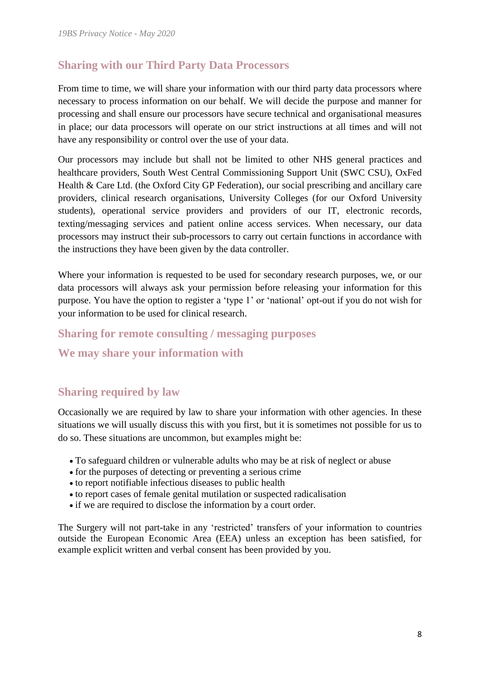## **Sharing with our Third Party Data Processors**

From time to time, we will share your information with our third party data processors where necessary to process information on our behalf. We will decide the purpose and manner for processing and shall ensure our processors have secure technical and organisational measures in place; our data processors will operate on our strict instructions at all times and will not have any responsibility or control over the use of your data.

Our processors may include but shall not be limited to other NHS general practices and healthcare providers, South West Central Commissioning Support Unit (SWC CSU), OxFed Health & Care Ltd. (the Oxford City GP Federation), our social prescribing and ancillary care providers, clinical research organisations, University Colleges (for our Oxford University students), operational service providers and providers of our IT, electronic records, texting/messaging services and patient online access services. When necessary, our data processors may instruct their sub-processors to carry out certain functions in accordance with the instructions they have been given by the data controller.

Where your information is requested to be used for secondary research purposes, we, or our data processors will always ask your permission before releasing your information for this purpose. You have the option to register a 'type 1' or 'national' opt-out if you do not wish for your information to be used for clinical research.

#### **Sharing for remote consulting / messaging purposes**

### **We may share your information with**

### **Sharing required by law**

Occasionally we are required by law to share your information with other agencies. In these situations we will usually discuss this with you first, but it is sometimes not possible for us to do so. These situations are uncommon, but examples might be:

- To safeguard children or vulnerable adults who may be at risk of neglect or abuse
- for the purposes of detecting or preventing a serious crime
- to report notifiable infectious diseases to public health
- to report cases of female genital mutilation or suspected radicalisation
- if we are required to disclose the information by a court order.

The Surgery will not part-take in any 'restricted' transfers of your information to countries outside the European Economic Area (EEA) unless an exception has been satisfied, for example explicit written and verbal consent has been provided by you.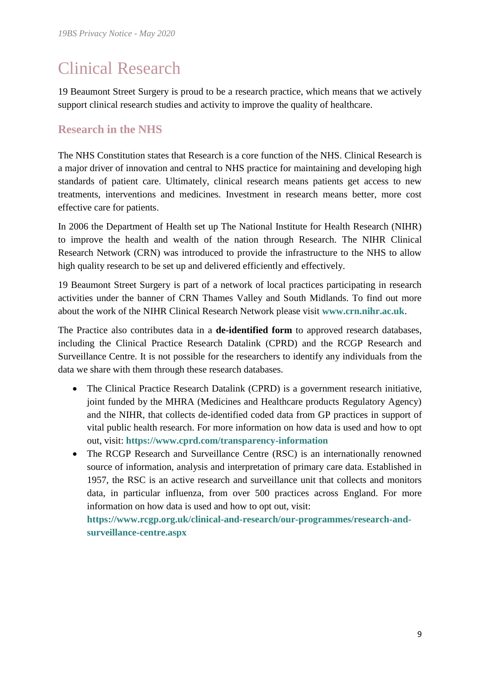## Clinical Research

19 Beaumont Street Surgery is proud to be a research practice, which means that we actively support clinical research studies and activity to improve the quality of healthcare.

## **Research in the NHS**

The NHS Constitution states that Research is a core function of the NHS. Clinical Research is a major driver of innovation and central to NHS practice for maintaining and developing high standards of patient care. Ultimately, clinical research means patients get access to new treatments, interventions and medicines. Investment in research means better, more cost effective care for patients.

In 2006 the Department of Health set up The National Institute for Health Research (NIHR) to improve the health and wealth of the nation through Research. The NIHR Clinical Research Network (CRN) was introduced to provide the infrastructure to the NHS to allow high quality research to be set up and delivered efficiently and effectively.

19 Beaumont Street Surgery is part of a network of local practices participating in research activities under the banner of CRN Thames Valley and South Midlands. To find out more about the work of the NIHR Clinical Research Network please visit **[www.crn.nihr.ac.uk](http://www.crn.nihr.ac.uk/)**.

The Practice also contributes data in a **de-identified form** to approved research databases, including the Clinical Practice Research Datalink (CPRD) and the RCGP Research and Surveillance Centre. It is not possible for the researchers to identify any individuals from the data we share with them through these research databases.

- The Clinical Practice Research Datalink (CPRD) is a government research initiative, joint funded by the MHRA (Medicines and Healthcare products Regulatory Agency) and the NIHR, that collects de-identified coded data from GP practices in support of vital public health research. For more information on how data is used and how to opt out, visit: **<https://www.cprd.com/transparency-information>**
- The RCGP Research and Surveillance Centre (RSC) is an internationally renowned source of information, analysis and interpretation of primary care data. Established in 1957, the RSC is an active research and surveillance unit that collects and monitors data, in particular influenza, from over 500 practices across England. For more information on how data is used and how to opt out, visit:

**[https://www.rcgp.org.uk/clinical-and-research/our-programmes/research-and](https://www.rcgp.org.uk/clinical-and-research/our-programmes/research-and-surveillance-centre.aspx)[surveillance-centre.aspx](https://www.rcgp.org.uk/clinical-and-research/our-programmes/research-and-surveillance-centre.aspx)**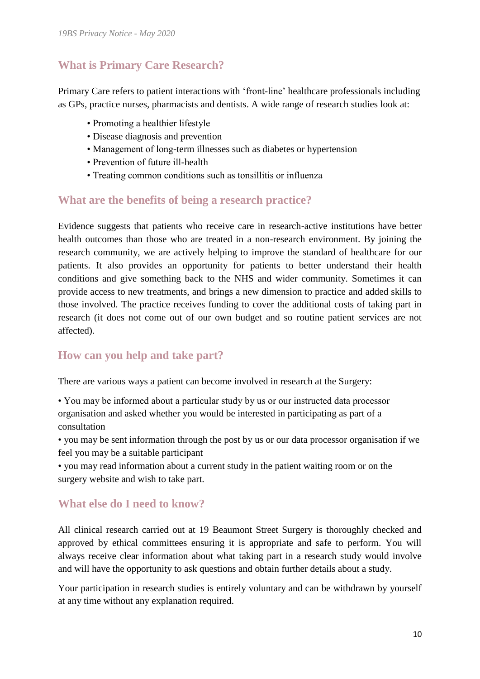## **What is Primary Care Research?**

Primary Care refers to patient interactions with 'front-line' healthcare professionals including as GPs, practice nurses, pharmacists and dentists. A wide range of research studies look at:

- Promoting a healthier lifestyle
- Disease diagnosis and prevention
- Management of long-term illnesses such as diabetes or hypertension
- Prevention of future ill-health
- Treating common conditions such as tonsillitis or influenza

#### **What are the benefits of being a research practice?**

Evidence suggests that patients who receive care in research-active institutions have better health outcomes than those who are treated in a non-research environment. By joining the research community, we are actively helping to improve the standard of healthcare for our patients. It also provides an opportunity for patients to better understand their health conditions and give something back to the NHS and wider community. Sometimes it can provide access to new treatments, and brings a new dimension to practice and added skills to those involved. The practice receives funding to cover the additional costs of taking part in research (it does not come out of our own budget and so routine patient services are not affected).

## **How can you help and take part?**

There are various ways a patient can become involved in research at the Surgery:

• You may be informed about a particular study by us or our instructed data processor organisation and asked whether you would be interested in participating as part of a consultation

• you may be sent information through the post by us or our data processor organisation if we feel you may be a suitable participant

• you may read information about a current study in the patient waiting room or on the surgery website and wish to take part.

### **What else do I need to know?**

All clinical research carried out at 19 Beaumont Street Surgery is thoroughly checked and approved by ethical committees ensuring it is appropriate and safe to perform. You will always receive clear information about what taking part in a research study would involve and will have the opportunity to ask questions and obtain further details about a study.

Your participation in research studies is entirely voluntary and can be withdrawn by yourself at any time without any explanation required.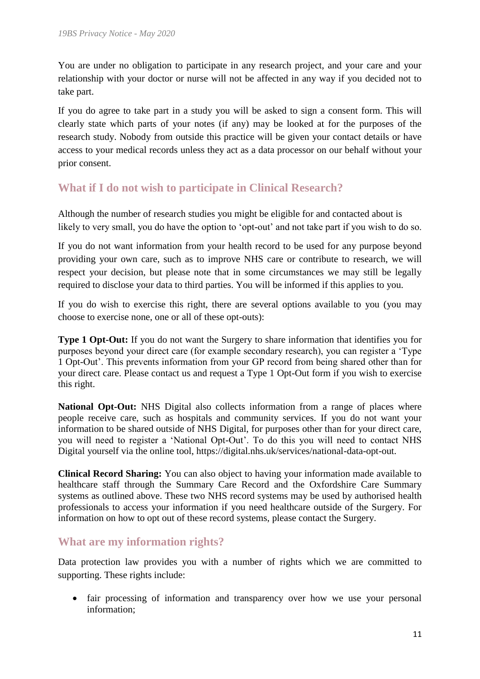You are under no obligation to participate in any research project, and your care and your relationship with your doctor or nurse will not be affected in any way if you decided not to take part.

If you do agree to take part in a study you will be asked to sign a consent form. This will clearly state which parts of your notes (if any) may be looked at for the purposes of the research study. Nobody from outside this practice will be given your contact details or have access to your medical records unless they act as a data processor on our behalf without your prior consent.

## **What if I do not wish to participate in Clinical Research?**

Although the number of research studies you might be eligible for and contacted about is likely to very small, you do have the option to 'opt-out' and not take part if you wish to do so.

If you do not want information from your health record to be used for any purpose beyond providing your own care, such as to improve NHS care or contribute to research, we will respect your decision, but please note that in some circumstances we may still be legally required to disclose your data to third parties. You will be informed if this applies to you.

If you do wish to exercise this right, there are several options available to you (you may choose to exercise none, one or all of these opt-outs):

**Type 1 Opt-Out:** If you do not want the Surgery to share information that identifies you for purposes beyond your direct care (for example secondary research), you can register a 'Type 1 Opt-Out'. This prevents information from your GP record from being shared other than for your direct care. Please contact us and request a Type 1 Opt-Out form if you wish to exercise this right.

**National Opt-Out:** NHS Digital also collects information from a range of places where people receive care, such as hospitals and community services. If you do not want your information to be shared outside of NHS Digital, for purposes other than for your direct care, you will need to register a 'National Opt-Out'. To do this you will need to contact NHS Digital yourself via the online tool, https://digital.nhs.uk/services/national-data-opt-out.

**Clinical Record Sharing:** You can also object to having your information made available to healthcare staff through the Summary Care Record and the Oxfordshire Care Summary systems as outlined above. These two NHS record systems may be used by authorised health professionals to access your information if you need healthcare outside of the Surgery. For information on how to opt out of these record systems, please contact the Surgery.

### **What are my information rights?**

Data protection law provides you with a number of rights which we are committed to supporting. These rights include:

• fair processing of information and transparency over how we use your personal information;